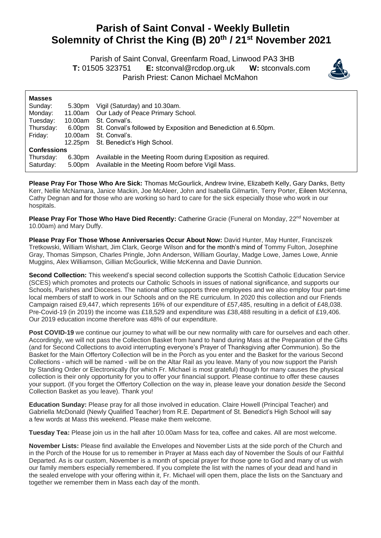## **Parish of Saint Conval - Weekly Bulletin Solemnity of Christ the King (B) 20th / 21st November 2021**

 Parish of Saint Conval, Greenfarm Road, Linwood PA3 3HB **T:** 01505 323751 **E:** [stconval@rcdop.org.uk](mailto:stconval@rcdop.org.uk) **W:** stconvals.com Parish Priest: Canon Michael McMahon



| <b>Masses</b>      |         |                                                                |
|--------------------|---------|----------------------------------------------------------------|
| Sunday:            | 5.30pm  | Vigil (Saturday) and 10.30am.                                  |
| Monday:            | 11.00am | Our Lady of Peace Primary School.                              |
| Tuesday:           | 10.00am | St. Conval's.                                                  |
| Thursday:          | 6.00pm  | St. Conval's followed by Exposition and Benediction at 6.50pm. |
| Friday:            | 10.00am | St. Conval's.                                                  |
|                    | 12.25pm | St. Benedict's High School.                                    |
| <b>Confessions</b> |         |                                                                |
| Thursday:          | 6.30pm  | Available in the Meeting Room during Exposition as required.   |
| Saturday:          | 5.00pm  | Available in the Meeting Room before Vigil Mass.               |

**Please Pray For Those Who Are Sick:** Thomas McGourlick, Andrew Irvine, Elizabeth Kelly, Gary Danks, Betty Kerr, Nellie McNamara, Janice Mackin, Joe McAleer, John and Isabella Gilmartin, Terry Porter, Eileen McKenna, Cathy Degnan and for those who are working so hard to care for the sick especially those who work in our hospitals.

**Please Pray For Those Who Have Died Recently:** Catherine Gracie (Funeral on Monday, 22<sup>nd</sup> November at 10.00am) and Mary Duffy.

**Please Pray For Those Whose Anniversaries Occur About Now:** David Hunter, May Hunter, Franciszek Tretkowski, William Wishart, Jim Clark, George Wilson and for the month's mind of Tommy Fulton, Josephine Gray, Thomas Simpson, Charles Pringle, John Anderson, William Gourlay, Madge Lowe, James Lowe, Annie Muggins, Alex Williamson, Gillian McGourlick, Willie McKenna and Davie Dunnion.

**Second Collection:** This weekend's special second collection supports the Scottish Catholic Education Service (SCES) which promotes and protects our Catholic Schools in issues of national significance, and supports our Schools, Parishes and Dioceses. The national office supports three employees and we also employ four part-time local members of staff to work in our Schools and on the RE curriculum. In 2020 this collection and our Friends Campaign raised £9,447, which represents 16% of our expenditure of £57,485, resulting in a deficit of £48,038. Pre-Covid-19 (in 2019) the income was £18,529 and expenditure was £38,488 resulting in a deficit of £19,406. Our 2019 education income therefore was 48% of our expenditure.

Post COVID-19 we continue our journey to what will be our new normality with care for ourselves and each other. Accordingly, we will not pass the Collection Basket from hand to hand during Mass at the Preparation of the Gifts (and for Second Collections to avoid interrupting everyone's Prayer of Thanksgiving after Communion). So the Basket for the Main Offertory Collection will be in the Porch as you enter and the Basket for the various Second Collections - which will be named - will be on the Altar Rail as you leave. Many of you now support the Parish by Standing Order or Electronically (for which Fr. Michael is most grateful) though for many causes the physical collection is their only opportunity for you to offer your financial support. Please continue to offer these causes your support. (If you forget the Offertory Collection on the way in, please leave your donation *beside* the Second Collection Basket as you leave). Thank you!

**Education Sunday:** Please pray for all those involved in education. Claire Howell (Principal Teacher) and Gabriella McDonald (Newly Qualified Teacher) from R.E. Department of St. Benedict's High School will say a few words at Mass this weekend. Please make them welcome.

**Tuesday Tea:** Please join us in the hall after 10.00am Mass for tea, coffee and cakes. All are most welcome.

**November Lists:** Please find available the Envelopes and November Lists at the side porch of the Church and in the Porch of the House for us to remember in Prayer at Mass each day of November the Souls of our Faithful Departed. As is our custom, November is a month of special prayer for those gone to God and many of us wish our family members especially remembered. If you complete the list with the names of your dead and hand in the sealed envelope with your offering within it, Fr. Michael will open them, place the lists on the Sanctuary and together we remember them in Mass each day of the month.